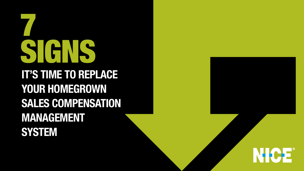# IT'S TIME TO REPLACE YOUR HOMEGROWN SALES COMPENSATION **MANAGEMENT** SYSTEM



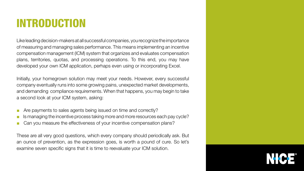## INTRODUCTION

Like leading decision-makers at all successful companies, you recognize the importance of measuring and managing sales performance. This means implementing an incentive compensation management (ICM) system that organizes and evaluates compensation plans, territories, quotas, and processing operations. To this end, you may have developed your own ICM application, perhaps even using or incorporating Excel.

Initially, your homegrown solution may meet your needs. However, every successful company eventually runs into some growing pains, unexpected market developments, and demanding compliance requirements. When that happens, you may begin to take a second look at your ICM system, asking:

- Are payments to sales agents being issued on time and correctly?
- Is managing the incentive process taking more and more resources each pay cycle?
- Can you measure the effectiveness of your incentive compensation plans?

These are all very good questions, which every company should periodically ask. But an ounce of prevention, as the expression goes, is worth a pound of cure. So let's examine seven specific signs that it is time to reevaluate your ICM solution.



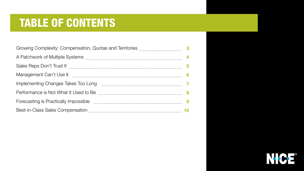## TABLE OF CONTENTS

| Growing Complexity: Compensation, Quotas and Territories                                                      |
|---------------------------------------------------------------------------------------------------------------|
| A Patchwork of Multiple Systems [1001] A Patchwork of Multiple Systems [1001] A Patchwork of Multiple Systems |
| Sales Reps Don't Trust It                                                                                     |
| Management Can't Use It                                                                                       |
| Implementing Changes Takes Too Long                                                                           |
| Performance is Not What It Used to Be <b>Frame Container Performance</b> is Not What It Used to Be            |
| Forecasting is Practically Impossible [11] [11] Forecasting is Practically Impossible                         |
|                                                                                                               |



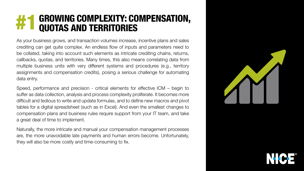## <span id="page-3-0"></span>GROWING COMPLEXITY: COMPENSATION, #1 QUOTAS AND TERRITORIES

As your business grows, and transaction volumes increase, incentive plans and sales crediting can get quite complex. An endless flow of inputs and parameters need to be collated, taking into account such elements as intricate crediting chains, returns, callbacks, quotas, and territories. Many times, this also means correlating data from multiple business units with very different systems and procedures (e.g., territory assignments and compensation credits), posing a serious challenge for automating data entry.

Speed, performance and precision - critical elements for effective  $ICM -$  begin to suffer as data collection, analysis and process complexity proliferate. It becomes more difficult and tedious to write and update formulas, and to define new macros and pivot tables for a digital spreadsheet (such as in Excel). And even the smallest changes to compensation plans and business rules require support from your IT team, and take a great deal of time to implement.

Naturally, the more intricate and manual your compensation management processes are, the more unavoidable late payments and human errors become. Unfortunately, they will also be more costly and time-consuming to fix.



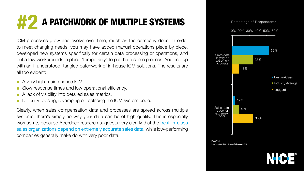## <span id="page-4-0"></span>A PATCHWORK OF MULTIPLE SYSTEMS #2



Source: Aberdeen Group, February 2016

ICM processes grow and evolve over time, much as the company does. In order to meet changing needs, you may have added manual operations piece by piece, developed new systems specifically for certain data processing or operations, and put a few workarounds in place "temporarily" to patch up some process. You end up with an ill understood, tangled patchwork of in-house ICM solutions. The results are all too evident:



- A very high-maintenance ICM.
- Slow response times and low operational efficiency.
- A lack of visibility into detailed sales metrics.
- Difficulty revising, revamping or replacing the ICM system code.

Clearly, when sales compensation data and processes are spread across multiple systems, there's simply no way your data can be of high quality. This is especially worrisome, because Aberdeen research suggests very clearly that the best-in-class sales organizations depend on extremely accurate sales data, while low-performing companies generally make do with very poor data.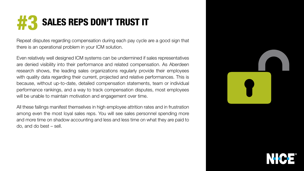## <span id="page-5-0"></span>SALES REPS DON'T TRUST IT #3

Repeat disputes regarding compensation during each pay cycle are a good sign that there is an operational problem in your ICM solution.

Even relatively well designed ICM systems can be undermined if sales representatives are denied visibility into their performance and related compensation. As Aberdeen research shows, the leading sales organizations regularly provide their employees with quality data regarding their current, projected and relative performances. This is because, without up-to-date, detailed compensation statements, team or individual performance rankings, and a way to track compensation disputes, most employees will be unable to maintain motivation and engagement over time.

All these failings manifest themselves in high employee attrition rates and in frustration among even the most loyal sales reps. You will see sales personnel spending more and more time on shadow accounting and less and less time on what they are paid to  $\alpha$ , and do best – sell.





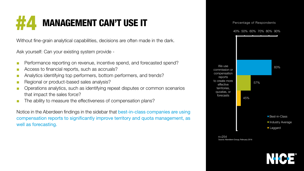## <span id="page-6-0"></span>**MANAGEMENT CAN'T USE IT**

Without fine-grain analytical capabilities, decisions are often made in the dark.

Ask yourself: Can your existing system provide -

- Performance reporting on revenue, incentive spend, and forecasted spend?
- Access to financial reports, such as accruals?
- Analytics identifying top performers, bottom performers, and trends?
- Regional or product-based sales analysis?
- Operations analytics, such as identifying repeat disputes or common scenarios that impact the sales force?
- The ability to measure the effectiveness of compensation plans?

Notice in the Aberdeen findings in the sidebar that best-in-class companies are using compensation reports to significantly improve territory and quota management, as well as forecasting.

### Percentage of Respondents



 $n = 254$ Source: Aberdeen Group, February 2016



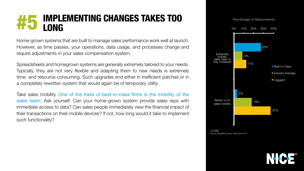## <span id="page-7-0"></span>IMPLEMENTING CHANGES TAKES TOO #5 LONG

Home-grown systems that are built to manage sales performance work well at launch. However, as time passes, your operations, data usage, and processes change and require adjustments in your sales compensation system.

. Spreadsheets and homegrown systems are generally extremely tailored to your needs. Typically, they are not very flexible and adapting them to new needs is extremely time- and resource-consuming. Such upgrades end either in inefficient patches or in a completely rewritten system that would again be of temporary utility.

Take sales mobility. One of the traits of best-in-class firms is the mobility of the sales team. Ask yourself: Can your home-grown system provide sales reps with immediate access to data? Can sales people immediately view the financial impact of their transactions on their mobile devices? If not, how long would it take to implement such functionality?



Source: Aberdeen Group, December 2015



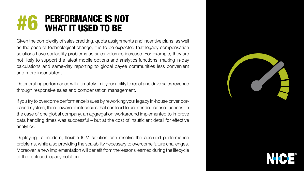### <span id="page-8-0"></span>PERFORMANCE IS NOT #6 WHAT IT USED TO BE

Given the complexity of sales crediting, quota assignments and incentive plans, as well as the pace of technological change, it is to be expected that legacy compensation solutions have scalability problems as sales volumes increase. For example, they are not likely to support the latest mobile options and analytics functions, making in-day calculations and same-day reporting to global payee communities less convenient and more inconsistent.

Deteriorating performance will ultimately limit your ability to react and drive sales revenue through responsive sales and compensation management.

based system, then beware of intricacies that can lead to unintended consequences. In If you try to overcome performance issues by reworking your legacy in-house or vendorthe case of one global company, an aggregation workaround implemented to improve data handling times was successful – but at the cost of insufficient detail for effective .analytics

Deploying a modern, flexible ICM solution can resolve the accrued performance problems, while also providing the scalability necessary to overcome future challenges. Moreover, a new implementation will benefit from the lessons learned during the lifecycle of the replaced legacy solution.

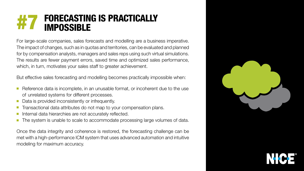### <span id="page-9-0"></span>FORECASTING IS PRACTICALLY #7 IMPOSSIBLE

For large-scale companies, sales forecasts and modelling are a business imperative. The impact of changes, such as in quotas and territories, can be evaluated and planned for by compensation analysts, managers and sales reps using such virtual simulations. The results are fewer payment errors, saved time and optimized sales performance, which, in turn, motivates your sales staff to greater achievement.

But effective sales forecasting and modelling becomes practically impossible when:

- Reference data is incomplete, in an unusable format, or incoherent due to the use of unrelated systems for different processes.
- Data is provided inconsistently or infrequently.
- Transactional data attributes do not map to your compensation plans.
- Internal data hierarchies are not accurately reflected.
- The system is unable to scale to accommodate processing large volumes of data.

Once the data integrity and coherence is restored, the forecasting challenge can be met with a high-performance ICM system that uses advanced automation and intuitive modeling for maximum accuracy.

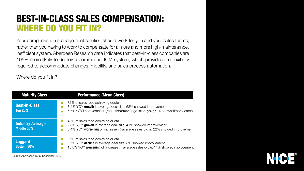## <span id="page-10-0"></span>**BEST-IN-CLASS SALES COMPENSATION: WHERE DO YOU FIT IN?**

Your compensation management solution should work for you and your sales teams, rather than you having to work to compensate for a more and more high-maintenance, inefficient system. Aberdeen Research data indicates that best-in-class companies are 105% more likely to deploy a commercial ICM system, which provides the flexibility required to accommodate changes, mobility, and sales process automation.

Where do you fit in?

| <b>Maturity Class</b>                  | <b>Performance (Mean Class)</b>                                                                                                                    |
|----------------------------------------|----------------------------------------------------------------------------------------------------------------------------------------------------|
| <b>Best-in-Class</b><br><b>Top 20%</b> | 72% of sales reps achieving quota<br>7.4% YOY growth in average deal size; 63% showe<br>6.7% YOY improvement in (reduction of) average sale        |
| <b>Industry Average</b><br>Middle 50%  | 48% of sales reps achieving quota<br>2.8% YOY growth in average deal size; 41% showe<br>0.4% YOY worsening of (increase in) average sales          |
| <b>Laggard</b><br><b>Bottom 30%</b>    | 37% of sales reps achieving quota<br>5.7% YOY <b>decline</b> in average deal size; 8% showed<br>15.8% YOY worsening of (increase in) average sales |

Source: Aberdeen Group, December 2015

ed improvement es cycle; 52% showed improvement

ed improvement cycle; 22% showed improvement

d improvement s cycle; 14% showed improvement